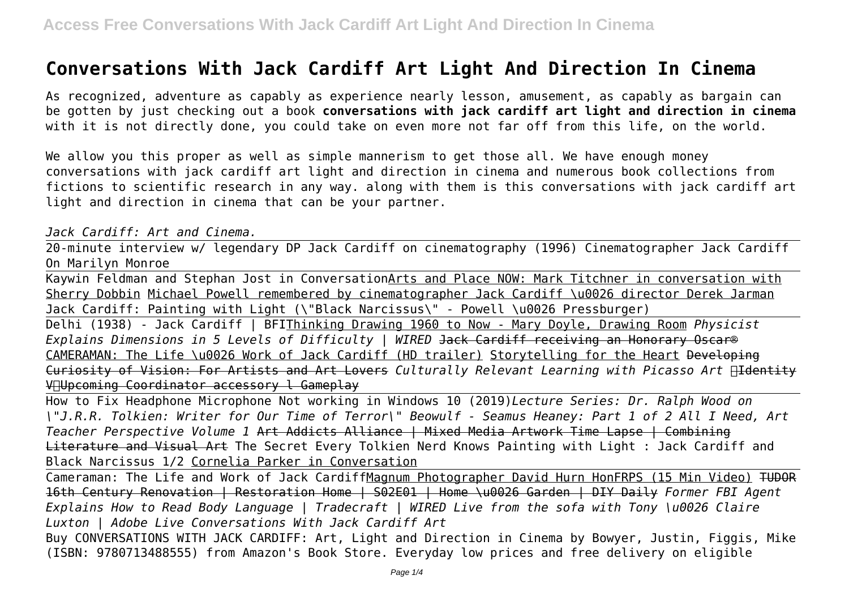# **Conversations With Jack Cardiff Art Light And Direction In Cinema**

As recognized, adventure as capably as experience nearly lesson, amusement, as capably as bargain can be gotten by just checking out a book **conversations with jack cardiff art light and direction in cinema** with it is not directly done, you could take on even more not far off from this life, on the world.

We allow you this proper as well as simple mannerism to get those all. We have enough money conversations with jack cardiff art light and direction in cinema and numerous book collections from fictions to scientific research in any way. along with them is this conversations with jack cardiff art light and direction in cinema that can be your partner.

#### *Jack Cardiff: Art and Cinema.*

20-minute interview w/ legendary DP Jack Cardiff on cinematography (1996) Cinematographer Jack Cardiff On Marilyn Monroe

Kaywin Feldman and Stephan Jost in ConversationArts and Place NOW: Mark Titchner in conversation with Sherry Dobbin Michael Powell remembered by cinematographer Jack Cardiff \u0026 director Derek Jarman Jack Cardiff: Painting with Light (\"Black Narcissus\" - Powell \u0026 Pressburger)

Delhi (1938) - Jack Cardiff | BFIThinking Drawing 1960 to Now - Mary Doyle, Drawing Room *Physicist Explains Dimensions in 5 Levels of Difficulty | WIRED* Jack Cardiff receiving an Honorary Oscar® CAMERAMAN: The Life \u0026 Work of Jack Cardiff (HD trailer) Storytelling for the Heart Developing Curiosity of Vision: For Artists and Art Lovers Culturally Relevant Learning with Picasso Art **Aldentity** VIUpcoming Coordinator accessory l Gameplay

How to Fix Headphone Microphone Not working in Windows 10 (2019)*Lecture Series: Dr. Ralph Wood on \"J.R.R. Tolkien: Writer for Our Time of Terror\" Beowulf - Seamus Heaney: Part 1 of 2 All I Need, Art Teacher Perspective Volume 1* Art Addicts Alliance | Mixed Media Artwork Time Lapse | Combining Literature and Visual Art The Secret Every Tolkien Nerd Knows Painting with Light : Jack Cardiff and Black Narcissus 1/2 Cornelia Parker in Conversation

Cameraman: The Life and Work of Jack CardiffMagnum Photographer David Hurn HonFRPS (15 Min Video) TUDOR 16th Century Renovation | Restoration Home | S02E01 | Home \u0026 Garden | DIY Daily *Former FBI Agent Explains How to Read Body Language | Tradecraft | WIRED Live from the sofa with Tony \u0026 Claire Luxton | Adobe Live Conversations With Jack Cardiff Art*

Buy CONVERSATIONS WITH JACK CARDIFF: Art, Light and Direction in Cinema by Bowyer, Justin, Figgis, Mike (ISBN: 9780713488555) from Amazon's Book Store. Everyday low prices and free delivery on eligible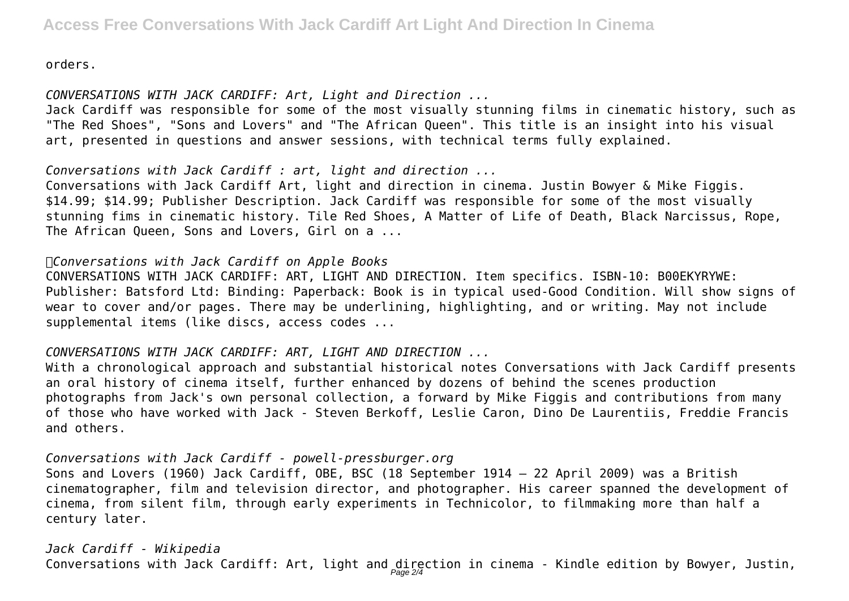orders.

*CONVERSATIONS WITH JACK CARDIFF: Art, Light and Direction ...*

Jack Cardiff was responsible for some of the most visually stunning films in cinematic history, such as "The Red Shoes", "Sons and Lovers" and "The African Queen". This title is an insight into his visual art, presented in questions and answer sessions, with technical terms fully explained.

*Conversations with Jack Cardiff : art, light and direction ...*

Conversations with Jack Cardiff Art, light and direction in cinema. Justin Bowyer & Mike Figgis. \$14.99; \$14.99; Publisher Description. Jack Cardiff was responsible for some of the most visually stunning fims in cinematic history. Tile Red Shoes, A Matter of Life of Death, Black Narcissus, Rope, The African Queen, Sons and Lovers, Girl on a ...

### *Conversations with Jack Cardiff on Apple Books*

CONVERSATIONS WITH JACK CARDIFF: ART, LIGHT AND DIRECTION. Item specifics. ISBN-10: B00EKYRYWE: Publisher: Batsford Ltd: Binding: Paperback: Book is in typical used-Good Condition. Will show signs of wear to cover and/or pages. There may be underlining, highlighting, and or writing. May not include supplemental items (like discs, access codes ...

## *CONVERSATIONS WITH JACK CARDIFF: ART, LIGHT AND DIRECTION ...*

With a chronological approach and substantial historical notes Conversations with Jack Cardiff presents an oral history of cinema itself, further enhanced by dozens of behind the scenes production photographs from Jack's own personal collection, a forward by Mike Figgis and contributions from many of those who have worked with Jack - Steven Berkoff, Leslie Caron, Dino De Laurentiis, Freddie Francis and others.

*Conversations with Jack Cardiff - powell-pressburger.org*

Sons and Lovers (1960) Jack Cardiff, OBE, BSC (18 September 1914 – 22 April 2009) was a British cinematographer, film and television director, and photographer. His career spanned the development of cinema, from silent film, through early experiments in Technicolor, to filmmaking more than half a century later.

*Jack Cardiff - Wikipedia* Conversations with Jack Cardiff: Art, light and  $\frac{{\rm d}}{Page~2/4}$ ction in cinema - Kindle edition by Bowyer, Justin,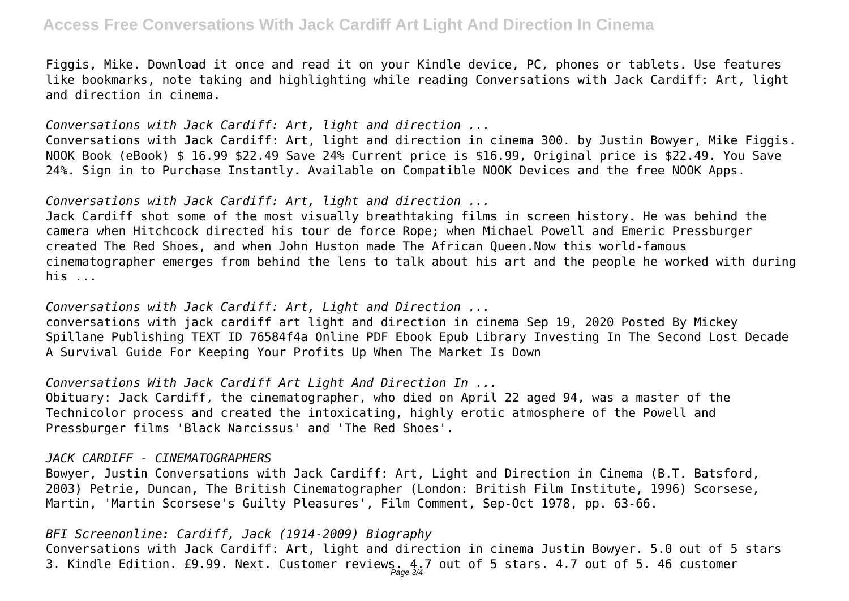Figgis, Mike. Download it once and read it on your Kindle device, PC, phones or tablets. Use features like bookmarks, note taking and highlighting while reading Conversations with Jack Cardiff: Art, light and direction in cinema.

*Conversations with Jack Cardiff: Art, light and direction ...* Conversations with Jack Cardiff: Art, light and direction in cinema 300. by Justin Bowyer, Mike Figgis. NOOK Book (eBook) \$ 16.99 \$22.49 Save 24% Current price is \$16.99, Original price is \$22.49. You Save 24%. Sign in to Purchase Instantly. Available on Compatible NOOK Devices and the free NOOK Apps.

*Conversations with Jack Cardiff: Art, light and direction ...*

Jack Cardiff shot some of the most visually breathtaking films in screen history. He was behind the camera when Hitchcock directed his tour de force Rope; when Michael Powell and Emeric Pressburger created The Red Shoes, and when John Huston made The African Queen.Now this world-famous cinematographer emerges from behind the lens to talk about his art and the people he worked with during his ...

*Conversations with Jack Cardiff: Art, Light and Direction ...* conversations with jack cardiff art light and direction in cinema Sep 19, 2020 Posted By Mickey Spillane Publishing TEXT ID 76584f4a Online PDF Ebook Epub Library Investing In The Second Lost Decade A Survival Guide For Keeping Your Profits Up When The Market Is Down

*Conversations With Jack Cardiff Art Light And Direction In ...*

Obituary: Jack Cardiff, the cinematographer, who died on April 22 aged 94, was a master of the Technicolor process and created the intoxicating, highly erotic atmosphere of the Powell and Pressburger films 'Black Narcissus' and 'The Red Shoes'.

#### *JACK CARDIFF - CINEMATOGRAPHERS*

Bowyer, Justin Conversations with Jack Cardiff: Art, Light and Direction in Cinema (B.T. Batsford, 2003) Petrie, Duncan, The British Cinematographer (London: British Film Institute, 1996) Scorsese, Martin, 'Martin Scorsese's Guilty Pleasures', Film Comment, Sep-Oct 1978, pp. 63-66.

*BFI Screenonline: Cardiff, Jack (1914-2009) Biography* Conversations with Jack Cardiff: Art, light and direction in cinema Justin Bowyer. 5.0 out of 5 stars 3. Kindle Edition. £9.99. Next. Customer reviews. 4.7 out of 5 stars. 4.7 out of 5. 46 customer